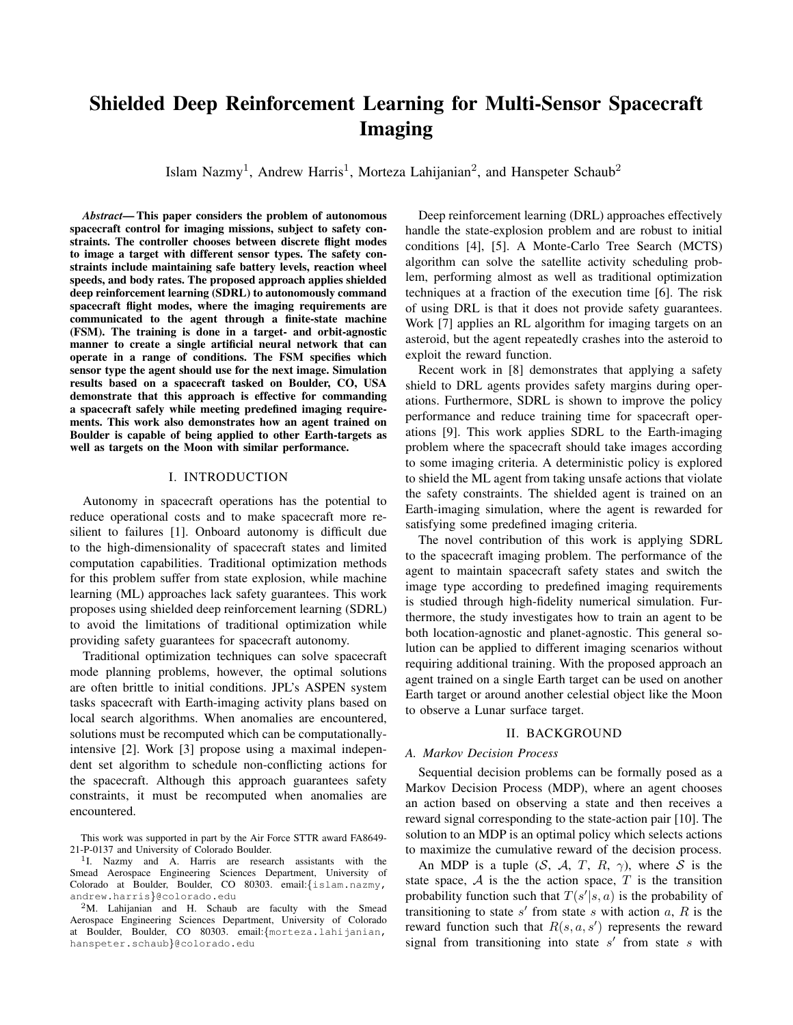# Shielded Deep Reinforcement Learning for Multi-Sensor Spacecraft Imaging

Islam Nazmy<sup>1</sup>, Andrew Harris<sup>1</sup>, Morteza Lahijanian<sup>2</sup>, and Hanspeter Schaub<sup>2</sup>

*Abstract*— This paper considers the problem of autonomous spacecraft control for imaging missions, subject to safety constraints. The controller chooses between discrete flight modes to image a target with different sensor types. The safety constraints include maintaining safe battery levels, reaction wheel speeds, and body rates. The proposed approach applies shielded deep reinforcement learning (SDRL) to autonomously command spacecraft flight modes, where the imaging requirements are communicated to the agent through a finite-state machine (FSM). The training is done in a target- and orbit-agnostic manner to create a single artificial neural network that can operate in a range of conditions. The FSM specifies which sensor type the agent should use for the next image. Simulation results based on a spacecraft tasked on Boulder, CO, USA demonstrate that this approach is effective for commanding a spacecraft safely while meeting predefined imaging requirements. This work also demonstrates how an agent trained on Boulder is capable of being applied to other Earth-targets as well as targets on the Moon with similar performance.

#### I. INTRODUCTION

Autonomy in spacecraft operations has the potential to reduce operational costs and to make spacecraft more resilient to failures [1]. Onboard autonomy is difficult due to the high-dimensionality of spacecraft states and limited computation capabilities. Traditional optimization methods for this problem suffer from state explosion, while machine learning (ML) approaches lack safety guarantees. This work proposes using shielded deep reinforcement learning (SDRL) to avoid the limitations of traditional optimization while providing safety guarantees for spacecraft autonomy.

Traditional optimization techniques can solve spacecraft mode planning problems, however, the optimal solutions are often brittle to initial conditions. JPL's ASPEN system tasks spacecraft with Earth-imaging activity plans based on local search algorithms. When anomalies are encountered, solutions must be recomputed which can be computationallyintensive [2]. Work [3] propose using a maximal independent set algorithm to schedule non-conflicting actions for the spacecraft. Although this approach guarantees safety constraints, it must be recomputed when anomalies are encountered.

Deep reinforcement learning (DRL) approaches effectively handle the state-explosion problem and are robust to initial conditions [4], [5]. A Monte-Carlo Tree Search (MCTS) algorithm can solve the satellite activity scheduling problem, performing almost as well as traditional optimization techniques at a fraction of the execution time [6]. The risk of using DRL is that it does not provide safety guarantees. Work [7] applies an RL algorithm for imaging targets on an asteroid, but the agent repeatedly crashes into the asteroid to exploit the reward function.

Recent work in [8] demonstrates that applying a safety shield to DRL agents provides safety margins during operations. Furthermore, SDRL is shown to improve the policy performance and reduce training time for spacecraft operations [9]. This work applies SDRL to the Earth-imaging problem where the spacecraft should take images according to some imaging criteria. A deterministic policy is explored to shield the ML agent from taking unsafe actions that violate the safety constraints. The shielded agent is trained on an Earth-imaging simulation, where the agent is rewarded for satisfying some predefined imaging criteria.

The novel contribution of this work is applying SDRL to the spacecraft imaging problem. The performance of the agent to maintain spacecraft safety states and switch the image type according to predefined imaging requirements is studied through high-fidelity numerical simulation. Furthermore, the study investigates how to train an agent to be both location-agnostic and planet-agnostic. This general solution can be applied to different imaging scenarios without requiring additional training. With the proposed approach an agent trained on a single Earth target can be used on another Earth target or around another celestial object like the Moon to observe a Lunar surface target.

### II. BACKGROUND

### *A. Markov Decision Process*

Sequential decision problems can be formally posed as a Markov Decision Process (MDP), where an agent chooses an action based on observing a state and then receives a reward signal corresponding to the state-action pair [10]. The solution to an MDP is an optimal policy which selects actions to maximize the cumulative reward of the decision process.

An MDP is a tuple  $(S, \mathcal{A}, T, R, \gamma)$ , where S is the state space,  $A$  is the the action space,  $T$  is the transition probability function such that  $T(s'|s, a)$  is the probability of transitioning to state  $s'$  from state  $s$  with action  $a, R$  is the reward function such that  $R(s, a, s')$  represents the reward signal from transitioning into state  $s'$  from state  $s$  with

This work was supported in part by the Air Force STTR award FA8649- 21-P-0137 and University of Colorado Boulder.

<sup>&</sup>lt;sup>1</sup>I. Nazmy and A. Harris are research assistants with the Smead Aerospace Engineering Sciences Department, University of Colorado at Boulder, Boulder, CO 80303. email:{islam.nazmy, andrew.harris}@colorado.edu

<sup>&</sup>lt;sup>2</sup>M. Lahijanian and H. Schaub are faculty with the Smead Aerospace Engineering Sciences Department, University of Colorado at Boulder, Boulder, CO 80303. email:{morteza.lahijanian, hanspeter.schaub}@colorado.edu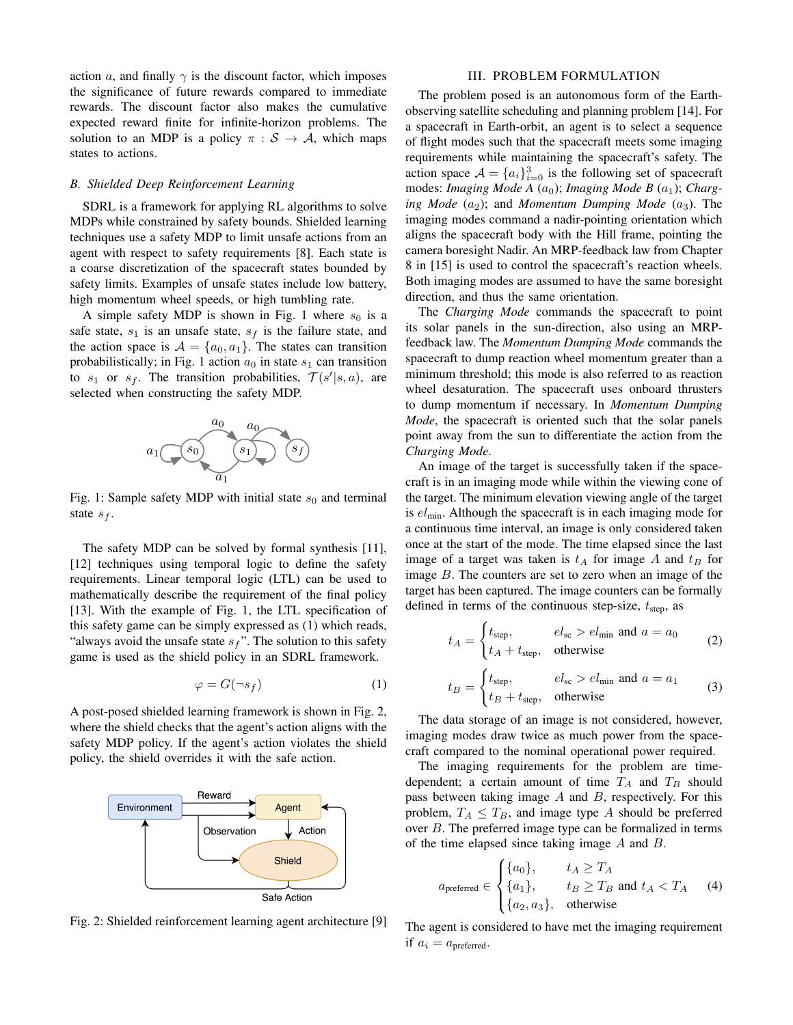action a, and finally  $\gamma$  is the discount factor, which imposes the significance of future rewards compared to immediate rewards. The discount factor also makes the cumulative expected reward finite for infinite-horizon problems. The solution to an MDP is a policy  $\pi : \mathcal{S} \to \mathcal{A}$ , which maps states to actions.

### *B. Shielded Deep Reinforcement Learning*

SDRL is a framework for applying RL algorithms to solve MDPs while constrained by safety bounds. Shielded learning techniques use a safety MDP to limit unsafe actions from an agent with respect to safety requirements [8]. Each state is a coarse discretization of the spacecraft states bounded by safety limits. Examples of unsafe states include low battery, high momentum wheel speeds, or high tumbling rate.

A simple safety MDP is shown in Fig. [1](#page-1-0) where  $s_0$  is a safe state,  $s_1$  is an unsafe state,  $s_f$  is the failure state, and the action space is  $A = \{a_0, a_1\}$ . The states can transition probabilistically; in Fig. [1](#page-1-0) action  $a_0$  in state  $s_1$  can transition to  $s_1$  or  $s_f$ . The transition probabilities,  $\mathcal{T}(s'|s, a)$ , are selected when constructing the safety MDP.

<span id="page-1-0"></span>

Fig. 1: Sample safety MDP with initial state  $s_0$  and terminal state  $s_f$ .

The safety MDP can be solved by formal synthesis [11], [12] techniques using temporal logic to define the safety requirements. Linear temporal logic (LTL) can be used to mathematically describe the requirement of the final policy [13]. With the example of Fig. [1,](#page-1-0) the LTL specification of this safety game can be simply expressed as [\(1\)](#page-1-1) which reads, "always avoid the unsafe state  $s_f$ ". The solution to this safety game is used as the shield policy in an SDRL framework.

<span id="page-1-1"></span>
$$
\varphi = G(\neg s_f) \tag{1}
$$

A post-posed shielded learning framework is shown in Fig. [2,](#page-1-2) where the shield checks that the agent's action aligns with the safety MDP policy. If the agent's action violates the shield policy, the shield overrides it with the safe action.

<span id="page-1-2"></span>

Fig. 2: Shielded reinforcement learning agent architecture [9]

#### III. PROBLEM FORMULATION

The problem posed is an autonomous form of the Earthobserving satellite scheduling and planning problem [14]. For a spacecraft in Earth-orbit, an agent is to select a sequence of flight modes such that the spacecraft meets some imaging requirements while maintaining the spacecraft's safety. The action space  $\mathcal{A} = \{a_i\}_{i=0}^3$  is the following set of spacecraft modes: *Imaging Mode A* (*a*<sub>0</sub>); *Imaging Mode B* (*a*<sub>1</sub>); *Charging Mode*  $(a_2)$ ; and *Momentum Dumping Mode*  $(a_3)$ . The imaging modes command a nadir-pointing orientation which aligns the spacecraft body with the Hill frame, pointing the camera boresight Nadir. An MRP-feedback law from Chapter 8 in [15] is used to control the spacecraft's reaction wheels. Both imaging modes are assumed to have the same boresight direction, and thus the same orientation.

The *Charging Mode* commands the spacecraft to point its solar panels in the sun-direction, also using an MRPfeedback law. The *Momentum Dumping Mode* commands the spacecraft to dump reaction wheel momentum greater than a minimum threshold; this mode is also referred to as reaction wheel desaturation. The spacecraft uses onboard thrusters to dump momentum if necessary. In *Momentum Dumping Mode*, the spacecraft is oriented such that the solar panels point away from the sun to differentiate the action from the *Charging Mode*.

An image of the target is successfully taken if the spacecraft is in an imaging mode while within the viewing cone of the target. The minimum elevation viewing angle of the target is  $el<sub>min</sub>$ . Although the spacecraft is in each imaging mode for a continuous time interval, an image is only considered taken once at the start of the mode. The time elapsed since the last image of a target was taken is  $t_A$  for image A and  $t_B$  for image B. The counters are set to zero when an image of the target has been captured. The image counters can be formally defined in terms of the continuous step-size,  $t_{step}$ , as

$$
t_A = \begin{cases} t_{\text{step}}, & el_{\text{sc}} > el_{\text{min}} \text{ and } a = a_0 \\ t_A + t_{\text{step}}, & \text{otherwise} \end{cases}
$$
 (2)

$$
t_B = \begin{cases} t_{\text{step}}, & el_{\text{sc}} > el_{\text{min}} \text{ and } a = a_1 \\ t_B + t_{\text{step}}, & \text{otherwise} \end{cases}
$$
 (3)

The data storage of an image is not considered, however, imaging modes draw twice as much power from the spacecraft compared to the nominal operational power required.

The imaging requirements for the problem are timedependent; a certain amount of time  $T_A$  and  $T_B$  should pass between taking image  $A$  and  $B$ , respectively. For this problem,  $T_A \leq T_B$ , and image type A should be preferred over B. The preferred image type can be formalized in terms of the time elapsed since taking image A and B.

$$
a_{\text{preferred}} \in \begin{cases} \{a_0\}, & t_A \ge T_A \\ \{a_1\}, & t_B \ge T_B \text{ and } t_A < T_A \\ \{a_2, a_3\}, & \text{otherwise} \end{cases} \tag{4}
$$

The agent is considered to have met the imaging requirement if  $a_i = a_{\text{preferred}}$ .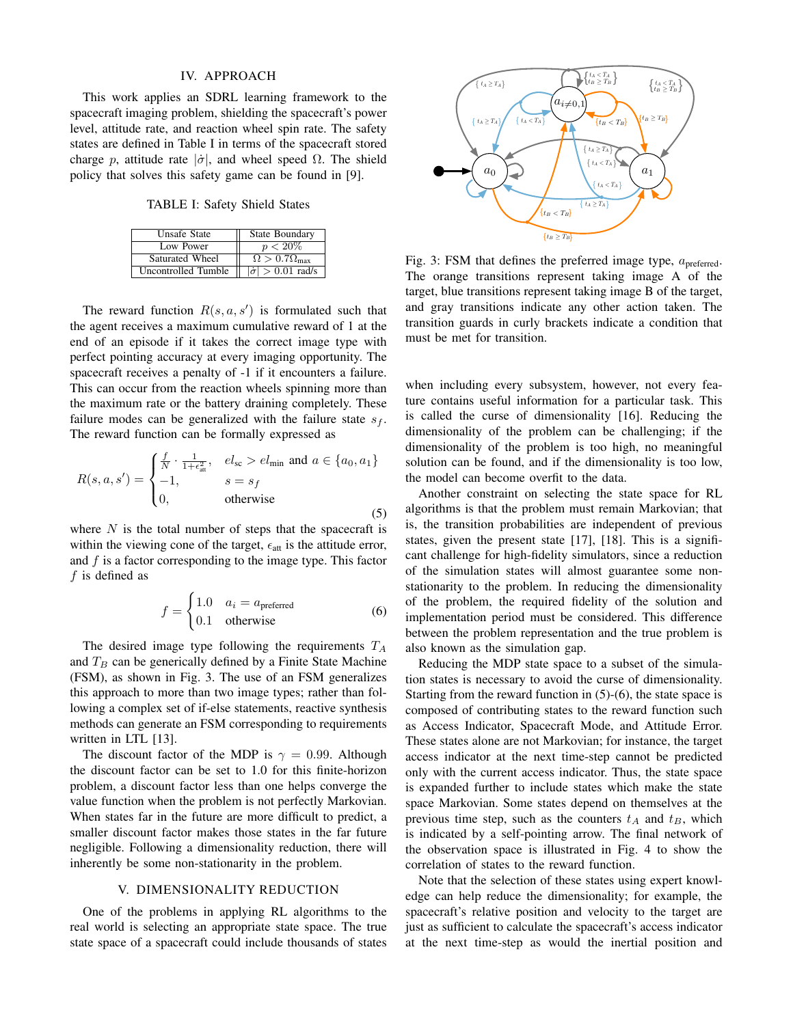### IV. APPROACH

This work applies an SDRL learning framework to the spacecraft imaging problem, shielding the spacecraft's power level, attitude rate, and reaction wheel spin rate. The safety states are defined in Table [I](#page-2-0) in terms of the spacecraft stored charge p, attitude rate  $|\dot{\sigma}|$ , and wheel speed  $\Omega$ . The shield policy that solves this safety game can be found in [9].

TABLE I: Safety Shield States

<span id="page-2-0"></span>

| <b>Unsafe State</b> | <b>State Boundary</b>              |
|---------------------|------------------------------------|
| Low Power           | $p < 20\%$                         |
| Saturated Wheel     | $\Omega > 0.7 \Omega_{\text{max}}$ |
| Uncontrolled Tumble | $ \dot{\sigma}  > 0.01$ rad/s      |

The reward function  $R(s, a, s')$  is formulated such that the agent receives a maximum cumulative reward of 1 at the end of an episode if it takes the correct image type with perfect pointing accuracy at every imaging opportunity. The spacecraft receives a penalty of -1 if it encounters a failure. This can occur from the reaction wheels spinning more than the maximum rate or the battery draining completely. These failure modes can be generalized with the failure state  $s_f$ . The reward function can be formally expressed as

<span id="page-2-2"></span>
$$
R(s, a, s') = \begin{cases} \frac{f}{N} \cdot \frac{1}{1 + \epsilon_{\text{att}}^2}, & el_{\text{sc}} > el_{\text{min}} \text{ and } a \in \{a_0, a_1\} \\ -1, & s = s_f \\ 0, & \text{otherwise} \end{cases}
$$
(5)

where  $N$  is the total number of steps that the spacecraft is within the viewing cone of the target,  $\epsilon_{\text{att}}$  is the attitude error, and  $f$  is a factor corresponding to the image type. This factor  $f$  is defined as

<span id="page-2-3"></span>
$$
f = \begin{cases} 1.0 & a_i = a_{\text{prefered}} \\ 0.1 & \text{otherwise} \end{cases}
$$
 (6)

The desired image type following the requirements  $T_A$ and  $T_B$  can be generically defined by a Finite State Machine (FSM), as shown in Fig. [3.](#page-2-1) The use of an FSM generalizes this approach to more than two image types; rather than following a complex set of if-else statements, reactive synthesis methods can generate an FSM corresponding to requirements written in LTL [13].

The discount factor of the MDP is  $\gamma = 0.99$ . Although the discount factor can be set to 1.0 for this finite-horizon problem, a discount factor less than one helps converge the value function when the problem is not perfectly Markovian. When states far in the future are more difficult to predict, a smaller discount factor makes those states in the far future negligible. Following a dimensionality reduction, there will inherently be some non-stationarity in the problem.

#### V. DIMENSIONALITY REDUCTION

One of the problems in applying RL algorithms to the real world is selecting an appropriate state space. The true state space of a spacecraft could include thousands of states

<span id="page-2-1"></span>

Fig. 3: FSM that defines the preferred image type,  $a<sub>pref</sub>$ <sub>erred</sub>. The orange transitions represent taking image A of the target, blue transitions represent taking image B of the target, and gray transitions indicate any other action taken. The transition guards in curly brackets indicate a condition that must be met for transition.

when including every subsystem, however, not every feature contains useful information for a particular task. This is called the curse of dimensionality [16]. Reducing the dimensionality of the problem can be challenging; if the dimensionality of the problem is too high, no meaningful solution can be found, and if the dimensionality is too low, the model can become overfit to the data.

Another constraint on selecting the state space for RL algorithms is that the problem must remain Markovian; that is, the transition probabilities are independent of previous states, given the present state [17], [18]. This is a significant challenge for high-fidelity simulators, since a reduction of the simulation states will almost guarantee some nonstationarity to the problem. In reducing the dimensionality of the problem, the required fidelity of the solution and implementation period must be considered. This difference between the problem representation and the true problem is also known as the simulation gap.

Reducing the MDP state space to a subset of the simulation states is necessary to avoid the curse of dimensionality. Starting from the reward function in  $(5)-(6)$  $(5)-(6)$  $(5)-(6)$ , the state space is composed of contributing states to the reward function such as Access Indicator, Spacecraft Mode, and Attitude Error. These states alone are not Markovian; for instance, the target access indicator at the next time-step cannot be predicted only with the current access indicator. Thus, the state space is expanded further to include states which make the state space Markovian. Some states depend on themselves at the previous time step, such as the counters  $t_A$  and  $t_B$ , which is indicated by a self-pointing arrow. The final network of the observation space is illustrated in Fig. [4](#page-3-0) to show the correlation of states to the reward function.

Note that the selection of these states using expert knowledge can help reduce the dimensionality; for example, the spacecraft's relative position and velocity to the target are just as sufficient to calculate the spacecraft's access indicator at the next time-step as would the inertial position and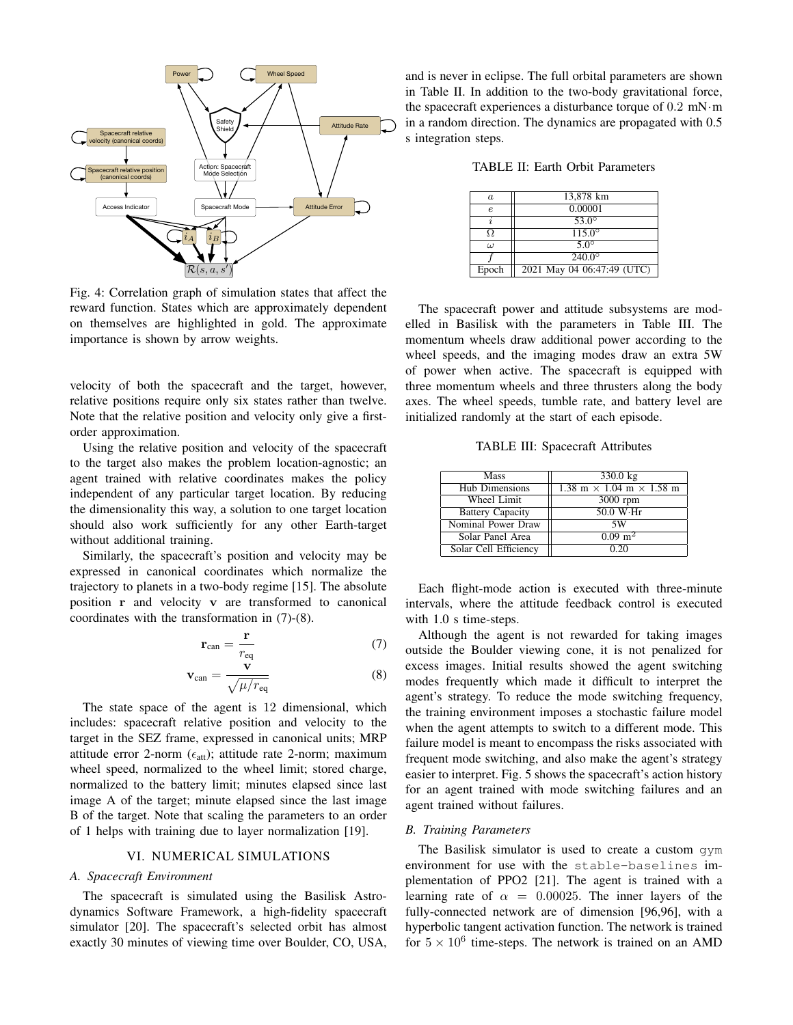<span id="page-3-0"></span>

Fig. 4: Correlation graph of simulation states that affect the reward function. States which are approximately dependent on themselves are highlighted in gold. The approximate importance is shown by arrow weights.

velocity of both the spacecraft and the target, however, relative positions require only six states rather than twelve. Note that the relative position and velocity only give a firstorder approximation.

Using the relative position and velocity of the spacecraft to the target also makes the problem location-agnostic; an agent trained with relative coordinates makes the policy independent of any particular target location. By reducing the dimensionality this way, a solution to one target location should also work sufficiently for any other Earth-target without additional training.

Similarly, the spacecraft's position and velocity may be expressed in canonical coordinates which normalize the trajectory to planets in a two-body regime [15]. The absolute position r and velocity v are transformed to canonical coordinates with the transformation in [\(7\)](#page-3-1)-[\(8\)](#page-3-2).

$$
\mathbf{r}_{\text{can}} = \frac{\mathbf{r}}{r_{\text{eq}}}
$$
 (7)

$$
\mathbf{v}_{\rm can} = \frac{\mathbf{v}}{\sqrt{\mu/r_{\rm eq}}} \tag{8}
$$

The state space of the agent is 12 dimensional, which includes: spacecraft relative position and velocity to the target in the SEZ frame, expressed in canonical units; MRP attitude error 2-norm ( $\epsilon_{\text{att}}$ ); attitude rate 2-norm; maximum wheel speed, normalized to the wheel limit; stored charge, normalized to the battery limit; minutes elapsed since last image A of the target; minute elapsed since the last image B of the target. Note that scaling the parameters to an order of 1 helps with training due to layer normalization [19].

#### VI. NUMERICAL SIMULATIONS

#### *A. Spacecraft Environment*

The spacecraft is simulated using the [Basilisk Astro](http://hanspeterschaub.info/basilisk/index.html)[dynamics Software Framework,](http://hanspeterschaub.info/basilisk/index.html) a high-fidelity spacecraft simulator [20]. The spacecraft's selected orbit has almost exactly 30 minutes of viewing time over Boulder, CO, USA,

and is never in eclipse. The full orbital parameters are shown in Table [II.](#page-3-3) In addition to the two-body gravitational force, the spacecraft experiences a disturbance torque of 0.2 mN·m in a random direction. The dynamics are propagated with 0.5 s integration steps.

<span id="page-3-3"></span>TABLE II: Earth Orbit Parameters

| $\boldsymbol{a}$ | 13,878 km                  |
|------------------|----------------------------|
| e                | 0.00001                    |
|                  | $53.0^\circ$               |
|                  | $115.0^\circ$              |
| ω                | $5.0^\circ$                |
|                  | $240.0^{\circ}$            |
| Epoch            | 2021 May 04 06:47:49 (UTC) |

The spacecraft power and attitude subsystems are modelled in Basilisk with the parameters in Table [III.](#page-3-4) The momentum wheels draw additional power according to the wheel speeds, and the imaging modes draw an extra 5W of power when active. The spacecraft is equipped with three momentum wheels and three thrusters along the body axes. The wheel speeds, tumble rate, and battery level are initialized randomly at the start of each episode.

TABLE III: Spacecraft Attributes

<span id="page-3-4"></span>

| Mass                    | 330.0 kg                                                     |
|-------------------------|--------------------------------------------------------------|
| Hub Dimensions          | $1.38 \text{ m} \times 1.04 \text{ m} \times 1.58 \text{ m}$ |
| Wheel Limit             | 3000 rpm                                                     |
| <b>Battery Capacity</b> | 50.0 W·Hr                                                    |
| Nominal Power Draw      | 5W                                                           |
| Solar Panel Area        | $0.09 \; \mathrm{m}^2$                                       |
| Solar Cell Efficiency   | 0.20                                                         |

Each flight-mode action is executed with three-minute intervals, where the attitude feedback control is executed with 1.0 s time-steps.

<span id="page-3-2"></span><span id="page-3-1"></span>Although the agent is not rewarded for taking images outside the Boulder viewing cone, it is not penalized for excess images. Initial results showed the agent switching modes frequently which made it difficult to interpret the agent's strategy. To reduce the mode switching frequency, the training environment imposes a stochastic failure model when the agent attempts to switch to a different mode. This failure model is meant to encompass the risks associated with frequent mode switching, and also make the agent's strategy easier to interpret. Fig. [5](#page-4-0) shows the spacecraft's action history for an agent trained with mode switching failures and an agent trained without failures.

#### *B. Training Parameters*

The Basilisk simulator is used to create a custom gym environment for use with the [stable-baselines](https://stable-baselines.readthedocs.io/en/master/modules/ppo2.html) implementation of PPO2 [21]. The agent is trained with a learning rate of  $\alpha = 0.00025$ . The inner layers of the fully-connected network are of dimension [96,96], with a hyperbolic tangent activation function. The network is trained for  $5 \times 10^6$  time-steps. The network is trained on an AMD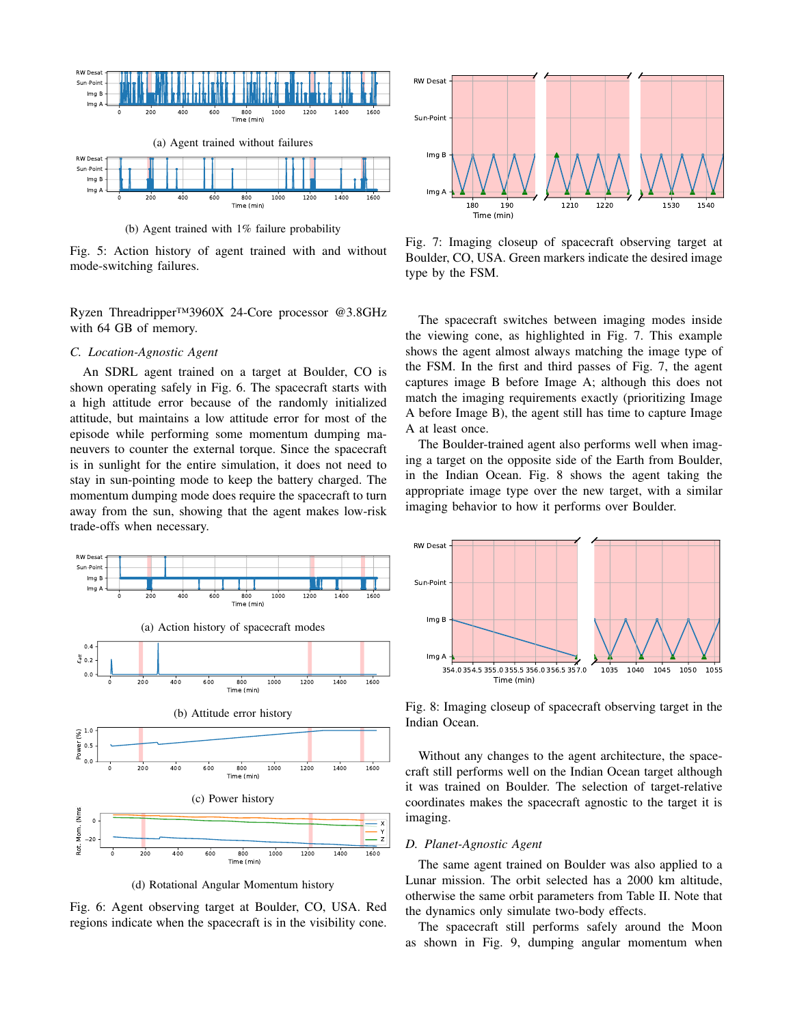<span id="page-4-0"></span>

(b) Agent trained with 1% failure probability

Fig. 5: Action history of agent trained with and without mode-switching failures.

Ryzen Threadripper™3960X 24-Core processor @3.8GHz with 64 GB of memory.

## *C. Location-Agnostic Agent*

An SDRL agent trained on a target at Boulder, CO is shown operating safely in Fig. [6.](#page-4-1) The spacecraft starts with a high attitude error because of the randomly initialized attitude, but maintains a low attitude error for most of the episode while performing some momentum dumping maneuvers to counter the external torque. Since the spacecraft is in sunlight for the entire simulation, it does not need to stay in sun-pointing mode to keep the battery charged. The momentum dumping mode does require the spacecraft to turn away from the sun, showing that the agent makes low-risk trade-offs when necessary.

<span id="page-4-1"></span>

(d) Rotational Angular Momentum history

Fig. 6: Agent observing target at Boulder, CO, USA. Red regions indicate when the spacecraft is in the visibility cone.

<span id="page-4-2"></span>

Fig. 7: Imaging closeup of spacecraft observing target at Boulder, CO, USA. Green markers indicate the desired image type by the FSM.

The spacecraft switches between imaging modes inside the viewing cone, as highlighted in Fig. [7.](#page-4-2) This example shows the agent almost always matching the image type of the FSM. In the first and third passes of Fig. [7,](#page-4-2) the agent captures image B before Image A; although this does not match the imaging requirements exactly (prioritizing Image A before Image B), the agent still has time to capture Image A at least once.

The Boulder-trained agent also performs well when imaging a target on the opposite side of the Earth from Boulder, in the Indian Ocean. Fig. [8](#page-4-3) shows the agent taking the appropriate image type over the new target, with a similar imaging behavior to how it performs over Boulder.

<span id="page-4-3"></span>

Fig. 8: Imaging closeup of spacecraft observing target in the Indian Ocean.

Without any changes to the agent architecture, the spacecraft still performs well on the Indian Ocean target although it was trained on Boulder. The selection of target-relative coordinates makes the spacecraft agnostic to the target it is imaging.

#### *D. Planet-Agnostic Agent*

The same agent trained on Boulder was also applied to a Lunar mission. The orbit selected has a 2000 km altitude, otherwise the same orbit parameters from Table [II.](#page-3-3) Note that the dynamics only simulate two-body effects.

The spacecraft still performs safely around the Moon as shown in Fig. [9,](#page-5-0) dumping angular momentum when